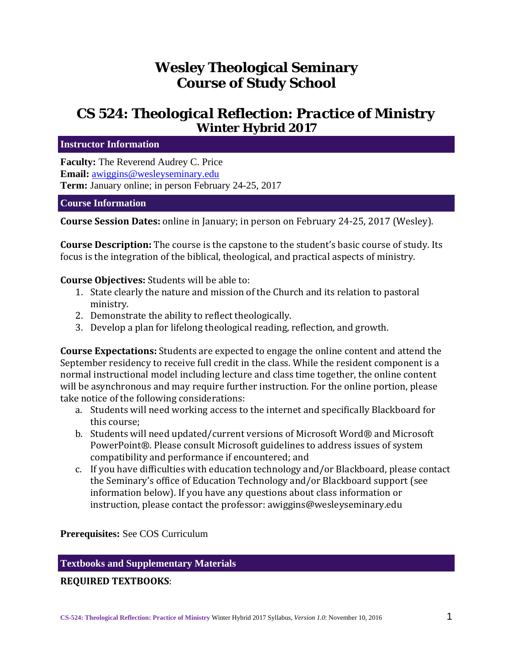# **Wesley Theological Seminary Course of Study School**

# *CS 524: Theological Reflection: Practice of Ministry*  **Winter Hybrid 2017**

**Instructor Information** 

**Faculty:** The Reverend Audrey C. Price **Email:** awiggins@wesleyseminary.edu **Term:** January online; in person February 24-25, 2017

#### **Course Information**

**Course Session Dates:** online in January; in person on February 24-25, 2017 (Wesley).

**Course Description:** The course is the capstone to the student's basic course of study. Its focus is the integration of the biblical, theological, and practical aspects of ministry.

#### **Course Objectives:** Students will be able to:

- 1. State clearly the nature and mission of the Church and its relation to pastoral ministry.
- 2. Demonstrate the ability to reflect theologically.
- 3. Develop a plan for lifelong theological reading, reflection, and growth.

**Course Expectations:** Students are expected to engage the online content and attend the September residency to receive full credit in the class. While the resident component is a normal instructional model including lecture and class time together, the online content will be asynchronous and may require further instruction. For the online portion, please take notice of the following considerations:

- a. Students will need working access to the internet and specifically Blackboard for this course:
- b. Students will need updated/current versions of Microsoft Word® and Microsoft PowerPoint®. Please consult Microsoft guidelines to address issues of system compatibility and performance if encountered; and
- c. If you have difficulties with education technology and/or Blackboard, please contact the Seminary's office of Education Technology and/or Blackboard support (see information below). If you have any questions about class information or instruction, please contact the professor: awiggins@wesleyseminary.edu

**Prerequisites:** See COS Curriculum

#### **Textbooks and Supplementary Materials**

**REQUIRED TEXTBOOKS**: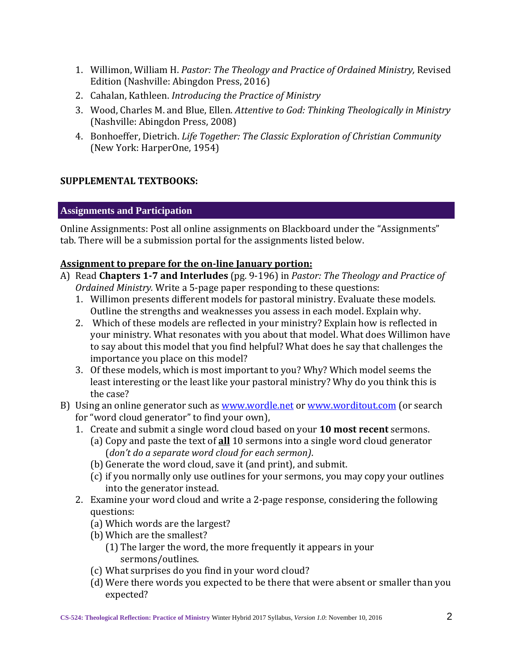- 1. Willimon, William H. *Pastor: The Theology and Practice of Ordained Ministry,* Revised Edition (Nashville: Abingdon Press, 2016)
- 2. Cahalan, Kathleen. *Introducing the Practice of Ministry*
- 3. Wood, Charles M. and Blue, Ellen. *Attentive to God: Thinking Theologically in Ministry* (Nashville: Abingdon Press, 2008)
- 4. Bonhoeffer, Dietrich. *Life Together: The Classic Exploration of Christian Community* (New York: HarperOne, 1954)

# **SUPPLEMENTAL TEXTBOOKS:**

# **Assignments and Participation**

Online Assignments: Post all online assignments on Blackboard under the "Assignments" tab. There will be a submission portal for the assignments listed below.

# **Assignment to prepare for the on‐line January portion:**

- A) Read **Chapters 1‐7 and Interludes** (pg. 9‐196) in *Pastor: The Theology and Practice of Ordained Ministry. Write a 5-page paper responding to these questions:* 
	- 1. Willimon presents different models for pastoral ministry. Evaluate these models. Outline the strengths and weaknesses you assess in each model. Explain why.
	- 2. Which of these models are reflected in your ministry? Explain how is reflected in your ministry. What resonates with you about that model. What does Willimon have to say about this model that you find helpful? What does he say that challenges the importance you place on this model?
	- 3. Of these models, which is most important to you? Why? Which model seems the least interesting or the least like your pastoral ministry? Why do you think this is the case?
- B) Using an online generator such as www.wordle.net or www.worditout.com (or search for "word cloud generator" to find your own),
	- 1. Create and submit a single word cloud based on your **10 most recent** sermons.
		- (a) Copy and paste the text of **all** 10 sermons into a single word cloud generator (*don't do a separate word cloud for each sermon)*.
		- (b) Generate the word cloud, save it (and print), and submit.
		- (c) if you normally only use outlines for your sermons, you may copy your outlines into the generator instead.
	- 2. Examine your word cloud and write a 2-page response, considering the following questions:
		- (a) Which words are the largest?
		- (b) Which are the smallest?
			- (1) The larger the word, the more frequently it appears in your sermons/outlines.
		- (c) What surprises do you find in your word cloud?
		- (d) Were there words you expected to be there that were absent or smaller than you expected?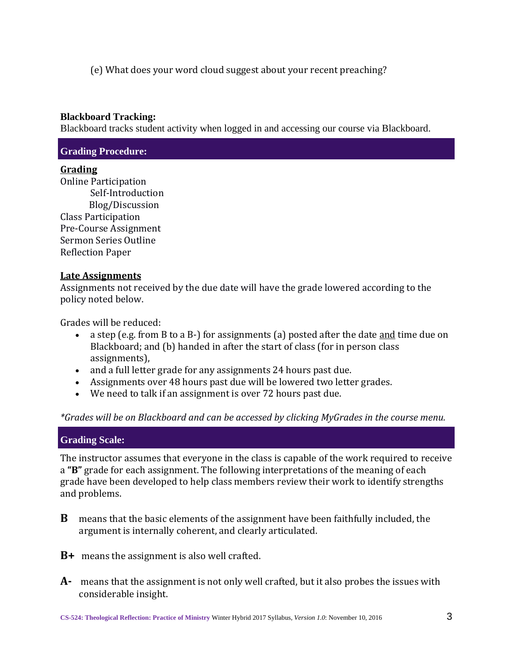(e) What does your word cloud suggest about your recent preaching?

#### **Blackboard Tracking:**

Blackboard tracks student activity when logged in and accessing our course via Blackboard.

#### **Grading Procedure:**

#### **Grading**

**Online Participation** Self‐Introduction Blog/Discussion Class Participation Pre-Course Assignment Sermon Series Outline Reflection Paper 

#### **Late Assignments**

Assignments not received by the due date will have the grade lowered according to the policy noted below.

Grades will be reduced:

- a step (e.g. from B to a B-) for assignments (a) posted after the date and time due on Blackboard; and (b) handed in after the start of class (for in person class assignments),
- and a full letter grade for any assignments 24 hours past due.
- Assignments over 48 hours past due will be lowered two letter grades.
- We need to talk if an assignment is over 72 hours past due.

# *\*Grades will be on Blackboard and can be accessed by clicking MyGrades in the course menu.*

# **Grading Scale:**

The instructor assumes that everyone in the class is capable of the work required to receive a "B" grade for each assignment. The following interpretations of the meaning of each grade have been developed to help class members review their work to identify strengths and problems.

- **B** means that the basic elements of the assignment have been faithfully included, the argument is internally coherent, and clearly articulated.
- **B**+ means the assignment is also well crafted.
- A<sup>-</sup> means that the assignment is not only well crafted, but it also probes the issues with considerable insight.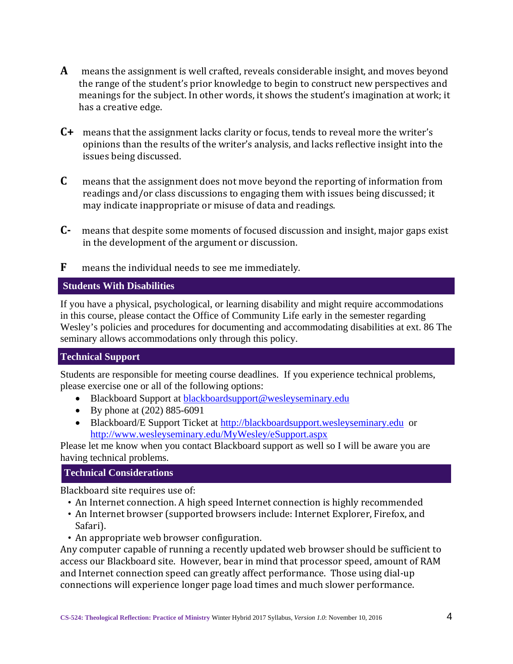- **A** means the assignment is well crafted, reveals considerable insight, and moves beyond the range of the student's prior knowledge to begin to construct new perspectives and meanings for the subject. In other words, it shows the student's imagination at work; it has a creative edge.
- **C+** means that the assignment lacks clarity or focus, tends to reveal more the writer's opinions than the results of the writer's analysis, and lacks reflective insight into the issues being discussed.
- **C** means that the assignment does not move beyond the reporting of information from readings and/or class discussions to engaging them with issues being discussed; it may indicate inappropriate or misuse of data and readings.
- **C•** means that despite some moments of focused discussion and insight, major gaps exist in the development of the argument or discussion.
- **F** means the individual needs to see me immediately.

# **Students With Disabilities**

If you have a physical, psychological, or learning disability and might require accommodations in this course, please contact the Office of Community Life early in the semester regarding Wesley's policies and procedures for documenting and accommodating disabilities at ext. 86 The seminary allows accommodations only through this policy.

# **Technical Support**

Students are responsible for meeting course deadlines. If you experience technical problems, please exercise one or all of the following options:

- Blackboard Support at blackboardsupport@wesleyseminary.edu
- By phone at  $(202) 885-6091$
- Blackboard/E Support Ticket at http://blackboardsupport.wesleyseminary.edu or http://www.wesleyseminary.edu/MyWesley/eSupport.aspx

Please let me know when you contact Blackboard support as well so I will be aware you are having technical problems.

# **Technical Considerations**

Blackboard site requires use of:

- An Internet connection. A high speed Internet connection is highly recommended
- An Internet browser (supported browsers include: Internet Explorer, Firefox, and Safari).
- An appropriate web browser configuration.

Any computer capable of running a recently updated web browser should be sufficient to access our Blackboard site. However, bear in mind that processor speed, amount of RAM and Internet connection speed can greatly affect performance. Those using dial-up connections will experience longer page load times and much slower performance.